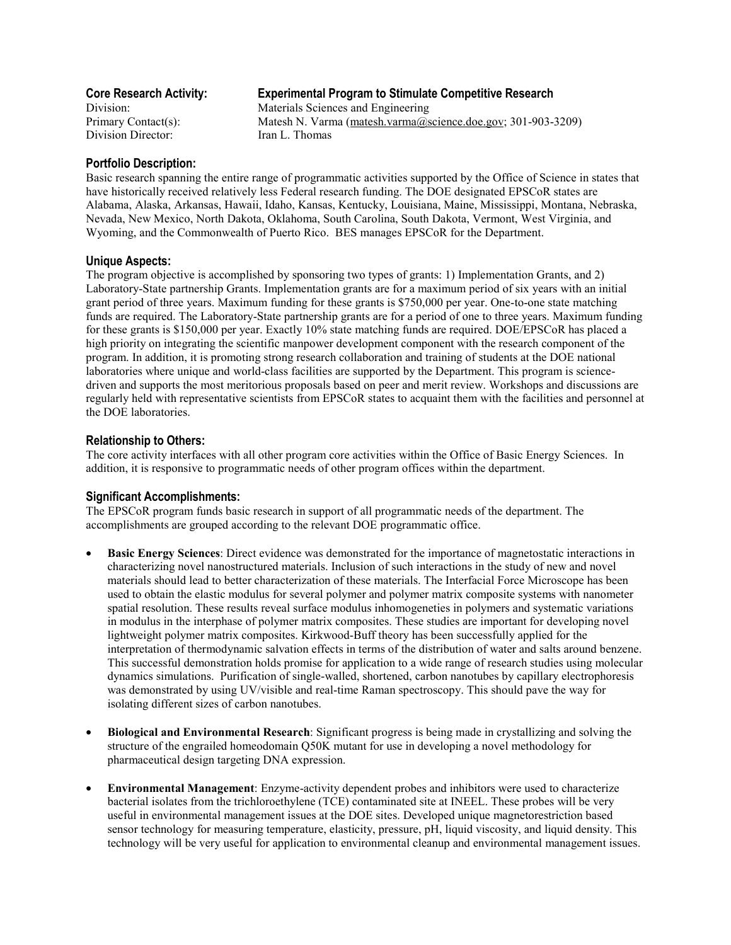Division Director: Iran L. Thomas

# **Core Research Activity: Experimental Program to Stimulate Competitive Research**

Division: Materials Sciences and Engineering Primary Contact(s): Matesh N. Varma (matesh.varma@science.doe.gov; 301-903-3209)

## **Portfolio Description:**

Basic research spanning the entire range of programmatic activities supported by the Office of Science in states that have historically received relatively less Federal research funding. The DOE designated EPSCoR states are Alabama, Alaska, Arkansas, Hawaii, Idaho, Kansas, Kentucky, Louisiana, Maine, Mississippi, Montana, Nebraska, Nevada, New Mexico, North Dakota, Oklahoma, South Carolina, South Dakota, Vermont, West Virginia, and Wyoming, and the Commonwealth of Puerto Rico. BES manages EPSCoR for the Department.

### **Unique Aspects:**

The program objective is accomplished by sponsoring two types of grants: 1) Implementation Grants, and 2) Laboratory-State partnership Grants. Implementation grants are for a maximum period of six years with an initial grant period of three years. Maximum funding for these grants is \$750,000 per year. One-to-one state matching funds are required. The Laboratory-State partnership grants are for a period of one to three years. Maximum funding for these grants is \$150,000 per year. Exactly 10% state matching funds are required. DOE/EPSCoR has placed a high priority on integrating the scientific manpower development component with the research component of the program. In addition, it is promoting strong research collaboration and training of students at the DOE national laboratories where unique and world-class facilities are supported by the Department. This program is sciencedriven and supports the most meritorious proposals based on peer and merit review. Workshops and discussions are regularly held with representative scientists from EPSCoR states to acquaint them with the facilities and personnel at the DOE laboratories.

## **Relationship to Others:**

The core activity interfaces with all other program core activities within the Office of Basic Energy Sciences. In addition, it is responsive to programmatic needs of other program offices within the department.

### **Significant Accomplishments:**

The EPSCoR program funds basic research in support of all programmatic needs of the department. The accomplishments are grouped according to the relevant DOE programmatic office.

- **Basic Energy Sciences**: Direct evidence was demonstrated for the importance of magnetostatic interactions in characterizing novel nanostructured materials. Inclusion of such interactions in the study of new and novel materials should lead to better characterization of these materials. The Interfacial Force Microscope has been used to obtain the elastic modulus for several polymer and polymer matrix composite systems with nanometer spatial resolution. These results reveal surface modulus inhomogeneties in polymers and systematic variations in modulus in the interphase of polymer matrix composites. These studies are important for developing novel lightweight polymer matrix composites. Kirkwood-Buff theory has been successfully applied for the interpretation of thermodynamic salvation effects in terms of the distribution of water and salts around benzene. This successful demonstration holds promise for application to a wide range of research studies using molecular dynamics simulations. Purification of single-walled, shortened, carbon nanotubes by capillary electrophoresis was demonstrated by using UV/visible and real-time Raman spectroscopy. This should pave the way for isolating different sizes of carbon nanotubes.
- **Biological and Environmental Research**: Significant progress is being made in crystallizing and solving the structure of the engrailed homeodomain Q50K mutant for use in developing a novel methodology for pharmaceutical design targeting DNA expression.
- **Environmental Management**: Enzyme-activity dependent probes and inhibitors were used to characterize bacterial isolates from the trichloroethylene (TCE) contaminated site at INEEL. These probes will be very useful in environmental management issues at the DOE sites. Developed unique magnetorestriction based sensor technology for measuring temperature, elasticity, pressure, pH, liquid viscosity, and liquid density. This technology will be very useful for application to environmental cleanup and environmental management issues.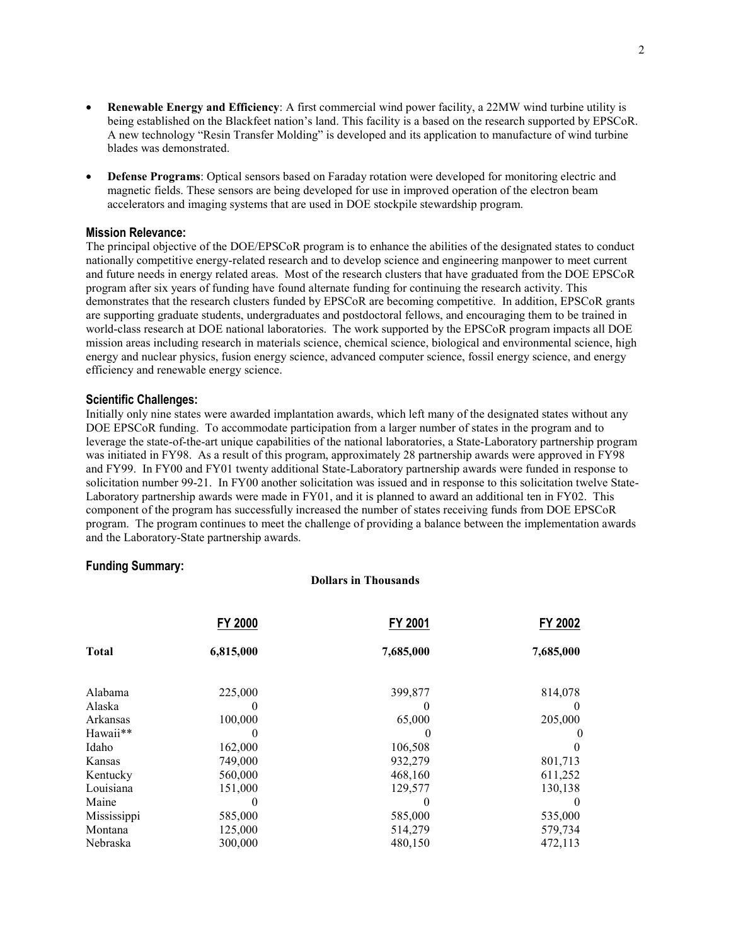- **Renewable Energy and Efficiency**: A first commercial wind power facility, a 22MW wind turbine utility is being established on the Blackfeet nation's land. This facility is a based on the research supported by EPSCoR. A new technology "Resin Transfer Molding" is developed and its application to manufacture of wind turbine blades was demonstrated.
- **Defense Programs**: Optical sensors based on Faraday rotation were developed for monitoring electric and magnetic fields. These sensors are being developed for use in improved operation of the electron beam accelerators and imaging systems that are used in DOE stockpile stewardship program.

#### **Mission Relevance:**

The principal objective of the DOE/EPSCoR program is to enhance the abilities of the designated states to conduct nationally competitive energy-related research and to develop science and engineering manpower to meet current and future needs in energy related areas. Most of the research clusters that have graduated from the DOE EPSCoR program after six years of funding have found alternate funding for continuing the research activity. This demonstrates that the research clusters funded by EPSCoR are becoming competitive. In addition, EPSCoR grants are supporting graduate students, undergraduates and postdoctoral fellows, and encouraging them to be trained in world-class research at DOE national laboratories. The work supported by the EPSCoR program impacts all DOE mission areas including research in materials science, chemical science, biological and environmental science, high energy and nuclear physics, fusion energy science, advanced computer science, fossil energy science, and energy efficiency and renewable energy science.

#### **Scientific Challenges:**

Initially only nine states were awarded implantation awards, which left many of the designated states without any DOE EPSCoR funding. To accommodate participation from a larger number of states in the program and to leverage the state-of-the-art unique capabilities of the national laboratories, a State-Laboratory partnership program was initiated in FY98. As a result of this program, approximately 28 partnership awards were approved in FY98 and FY99. In FY00 and FY01 twenty additional State-Laboratory partnership awards were funded in response to solicitation number 99-21. In FY00 another solicitation was issued and in response to this solicitation twelve State-Laboratory partnership awards were made in FY01, and it is planned to award an additional ten in FY02. This component of the program has successfully increased the number of states receiving funds from DOE EPSCoR program. The program continues to meet the challenge of providing a balance between the implementation awards and the Laboratory-State partnership awards.

### **Funding Summary:**

#### **Dollars in Thousands**

|              | FY 2000   | FY 2001   | FY 2002   |
|--------------|-----------|-----------|-----------|
| <b>Total</b> | 6,815,000 | 7,685,000 | 7,685,000 |
| Alabama      | 225,000   | 399,877   | 814,078   |
| Alaska       | 0         | $\theta$  | $\theta$  |
| Arkansas     | 100,000   | 65,000    | 205,000   |
| Hawaii**     |           |           |           |
| Idaho        | 162,000   | 106,508   |           |
| Kansas       | 749,000   | 932,279   | 801,713   |
| Kentucky     | 560,000   | 468,160   | 611,252   |
| Louisiana    | 151,000   | 129,577   | 130,138   |
| Maine        | 0         | $\theta$  | 0         |
| Mississippi  | 585,000   | 585,000   | 535,000   |
| Montana      | 125,000   | 514,279   | 579,734   |
| Nebraska     | 300,000   | 480,150   | 472,113   |